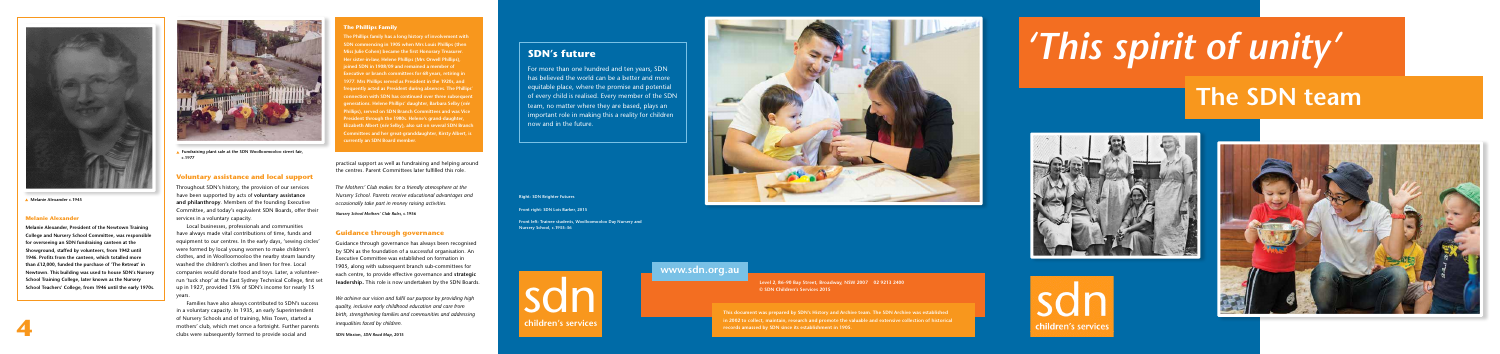# **Voluntary assistance and local support**

Throughout SDN's history, the provision of our services have been supported by acts of **voluntary assistance and philanthropy**. Members of the founding Executive Committee, and today's equivalent SDN Boards, offer their services in a voluntary capacity.

Local businesses, professionals and communities have always made vital contributions of time, funds and equipment to our centres. In the early days, 'sewing circles' were formed by local young women to make children's clothes, and in Woolloomooloo the nearby steam laundry washed the children's clothes and linen for free. Local companies would donate food and toys. Later, a volunteerrun 'tuck shop' at the East Sydney Technical College, first set up in 1927, provided 15% of SDN's income for nearly 15 years.

Families have also always contributed to SDN's success in a voluntary capacity. In 1935, an early Superintendent of Nursery Schools and of training, Miss Town, started a mothers' club, which met once a fortnight. Further parents clubs were subsequently formed to provide social and

practical support as well as fundraising and helping around the centres. Parent Committees later fulfilled this role.

*The Mothers' Club makes for a friendly atmosphere at the Nursery School. Parents receive educational advantages and occasionally take part in money raising activities.*

*Nursery School Mothers' Club Rules***, c.1956**

# **Guidance through governance**

Guidance through governance has always been recognised by SDN as the foundation of a successful organisation. An Executive Committee was established on formation in 1905, along with subsequent branch sub-committees for each centre, to provide effective governance and **strategic leadership.** This role is now undertaken by the SDN Boards.

*We achieve our vision and fulfil our purpose by providing high quality, inclusive early childhood education and care from birth, strengthening families and communities and addressing inequalities faced by children.*

**SDN Mission,** *SDN Road Map***, 2015**

# **SDN's future**

For more than one hundred and ten years, SDN has believed the world can be a better and more equitable place, where the promise and potential of every child is realised. Every member of the SDN team, no matter where they are based, plays an important role in making this a reality for children now and in the future.



# *'This spirit of unity'* **The SDN team**



**Level 2, 86–90 Bay Street, Broadway, NSW 2007 02 9213 2400 © SDN Children's Services 2015**

**This document was prepared by SDN's History and Archive team. The SDN Archive was established in 2002 to collect, maintain, research and promote the valuable and extensive collection of historical records amassed by SDN since its establishment in 1905.**





# **www.sdn.org.au**

**4**

# **Melanie Alexander**

**Melanie Alexander, President of the Newtown Training College and Nursery School Committee, was responsible for overseeing an SDN fundraising canteen at the Showground, staffed by volunteers, from 1942 until 1946. Profits from the canteen, which totalled more than £12,000, funded the purchase of 'The Retreat' in Newtown. This building was used to house SDN's Nursery School Training College, later known as the Nursery School Teachers' College, from 1946 until the early 1970s.**



 **Melanie Alexander c.1945**

**Front left: Trainee students, Woolloomooloo Day Nursery and Nursery School, c.1935–36**

**Right: SDN Brighter Futures**

**Front right: SDN Lois Barker, 2015**



# **The Phillips Family**

**The Phillips family has a long history of involvement with SDN commencing in 1905 when Mrs Louis Phillips (then Miss Julie Cohen) became the first Honorary Treasurer. Her sister-in-law, Helene Phillips (Mrs Orwell Phillips), joined SDN in 1908/09 and remained a member of Executive or branch committees for 68 years, retiring in 1977. Mrs Phillips served as President in the 1920s, and**  *equently acted as President during absences. The Phillip* **nnection with SDN has continued over three subsequentily generations. Helene Phillips' daughter, Barbara Selby (***née* **Phillips), served on SDN Branch Committees and was Vice President through the 1980s. Helene's grand-daughter, Elizabeth Albert (***née* **Selby), also sat on several SDN Branch Committees and her great-granddaughter, Kirsty Albert, is currently an SDN Board member.** 



 **Fundraising plant sale at the SDN Woolloomooloo street fair, c.1977**